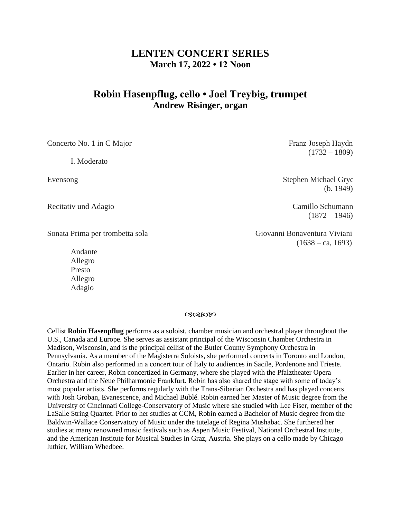## **LENTEN CONCERT SERIES March 17, 2022 • 12 Noon**

# **Robin Hasenpflug, cello • Joel Treybig, trumpet Andrew Risinger, organ**

Concerto No. 1 in C Major **Franz Joseph Haydn** 

I. Moderato

Recitativ und Adagio **Camillo Schumann** 

Sonata Prima per trombetta sola Giovanni Bonaventura Viviani

Andante Allegro Presto Allegro Adagio

 $(1732 - 1809)$ 

Evensong Stephen Michael Gryc (b. 1949)

 $(1872 - 1946)$ 

 $(1638 - ca, 1693)$ 

03082020

Cellist **Robin Hasenpflug** performs as a soloist, chamber musician and orchestral player throughout the U.S., Canada and Europe. She serves as assistant principal of the Wisconsin Chamber Orchestra in Madison, Wisconsin, and is the principal cellist of the Butler County Symphony Orchestra in Pennsylvania. As a member of the Magisterra Soloists, she performed concerts in Toronto and London, Ontario. Robin also performed in a concert tour of Italy to audiences in Sacile, Pordenone and Trieste. Earlier in her career, Robin concertized in Germany, where she played with the Pfalztheater Opera Orchestra and the Neue Philharmonie Frankfurt. Robin has also shared the stage with some of today's most popular artists. She performs regularly with the Trans-Siberian Orchestra and has played concerts with Josh Groban, Evanescence, and Michael Bublé. Robin earned her Master of Music degree from the University of Cincinnati College-Conservatory of Music where she studied with Lee Fiser, member of the LaSalle String Quartet. Prior to her studies at CCM, Robin earned a Bachelor of Music degree from the Baldwin-Wallace Conservatory of Music under the tutelage of Regina Mushabac. She furthered her studies at many renowned music festivals such as Aspen Music Festival, National Orchestral Institute, and the American Institute for Musical Studies in Graz, Austria. She plays on a cello made by Chicago luthier, William Whedbee.